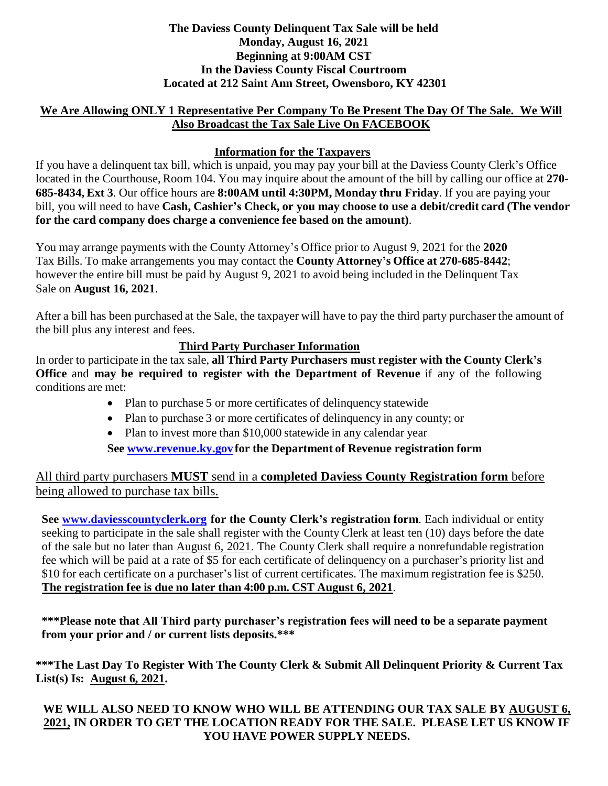#### **The Daviess County Delinquent Tax Sale will be held Monday, August 16, 2021 Beginning at 9:00AM CST In the Daviess County Fiscal Courtroom Located at 212 Saint Ann Street, Owensboro, KY 42301**

### **We Are Allowing ONLY 1 Representative Per Company To Be Present The Day Of The Sale. We Will Also Broadcast the Tax Sale Live On FACEBOOK**

## **Information for the Taxpayers**

If you have a delinquent tax bill, which is unpaid, you may pay your bill at the Daviess County Clerk's Office located in the Courthouse, Room 104. You may inquire about the amount of the bill by calling our office at **270- 685-8434, Ext 3**. Our office hours are **8:00AM until 4:30PM, Monday thru Friday**. If you are paying your bill, you will need to have **Cash, Cashier's Check, or you may choose to use a debit/credit card (The vendor for the card company does charge a convenience fee based on the amount)**.

You may arrange payments with the County Attorney's Office prior to August 9, 2021 for the **2020** Tax Bills. To make arrangements you may contact the **County Attorney's Office at 270-685-8442**; however the entire bill must be paid by August 9, 2021 to avoid being included in the Delinquent Tax Sale on **August 16, 2021**.

After a bill has been purchased at the Sale, the taxpayer will have to pay the third party purchaser the amount of the bill plus any interest and fees.

#### **Third Party Purchaser Information**

In order to participate in the tax sale, **all Third Party Purchasers must register with the County Clerk's Office** and **may be required to register with the Department of Revenue** if any of the following conditions are met:

- Plan to purchase 5 or more certificates of delinquency statewide
- Plan to purchase 3 or more certificates of delinquency in any county; or
- Plan to invest more than \$10,000 statewide in any calendar year

#### **See [www.revenue.ky.gov](http://www.revenue.ky.gov/) for the Department of Revenue registration form**

All third party purchasers **MUST** send in a **completed Daviess County Registration form** before being allowed to purchase tax bills.

**See [www.daviesscountyclerk.org](http://www.daviesscountyclerk.org/) for the County Clerk's registration form**. Each individual or entity seeking to participate in the sale shall register with the County Clerk at least ten (10) days before the date of the sale but no later than August 6, 2021. The County Clerk shall require a nonrefundable registration fee which will be paid at a rate of \$5 for each certificate of delinquency on a purchaser's priority list and \$10 for each certificate on a purchaser's list of current certificates. The maximum registration fee is \$250. **The registration fee is due no later than 4:00 p.m. CST August 6, 2021**.

**\*\*\*Please note that All Third party purchaser's registration fees will need to be a separate payment from your prior and / or current lists deposits.\*\*\***

**\*\*\*The Last Day To Register With The County Clerk & Submit All Delinquent Priority & Current Tax List(s) Is: August 6, 2021.**

### **WE WILL ALSO NEED TO KNOW WHO WILL BE ATTENDING OUR TAX SALE BY AUGUST 6, 2021, IN ORDER TO GET THE LOCATION READY FOR THE SALE. PLEASE LET US KNOW IF YOU HAVE POWER SUPPLY NEEDS.**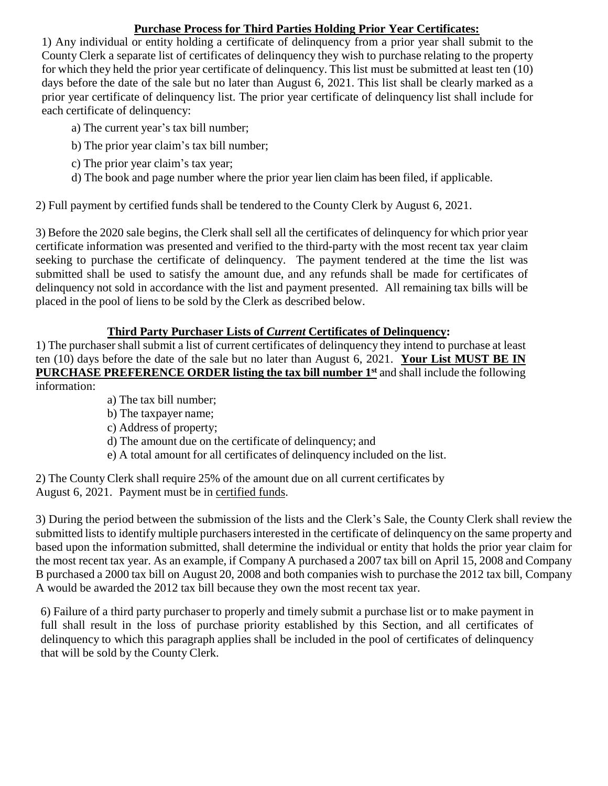### **Purchase Process for Third Parties Holding Prior Year Certificates:**

1) Any individual or entity holding a certificate of delinquency from a prior year shall submit to the County Clerk a separate list of certificates of delinquency they wish to purchase relating to the property for which they held the prior year certificate of delinquency. This list must be submitted at least ten (10) days before the date of the sale but no later than August 6, 2021. This list shall be clearly marked as a prior year certificate of delinquency list. The prior year certificate of delinquency list shall include for each certificate of delinquency:

- a) The current year's tax bill number;
- b) The prior year claim's tax bill number;
- c) The prior year claim's tax year;
- d) The book and page number where the prior year lien claim has been filed, if applicable.

2) Full payment by certified funds shall be tendered to the County Clerk by August 6, 2021.

3) Before the 2020 sale begins, the Clerk shall sell all the certificates of delinquency for which prior year certificate information was presented and verified to the third-party with the most recent tax year claim seeking to purchase the certificate of delinquency. The payment tendered at the time the list was submitted shall be used to satisfy the amount due, and any refunds shall be made for certificates of delinquency not sold in accordance with the list and payment presented. All remaining tax bills will be placed in the pool of liens to be sold by the Clerk as described below.

# **Third Party Purchaser Lists of** *Current* **Certificates of Delinquency:**

1) The purchasershall submit a list of current certificates of delinquency they intend to purchase at least ten (10) days before the date of the sale but no later than August 6, 2021. **Your List MUST BE IN PURCHASE PREFERENCE ORDER listing the tax bill number 1st** and shall include the following information:

- a) The tax bill number;
- b) The taxpayer name;
- c) Address of property;
- d) The amount due on the certificate of delinquency; and
- e) A total amount for all certificates of delinquency included on the list.

2) The County Clerk shall require 25% of the amount due on all current certificates by August 6, 2021. Payment must be in certified funds.

3) During the period between the submission of the lists and the Clerk's Sale, the County Clerk shall review the submitted lists to identify multiple purchasersinterested in the certificate of delinquency on the same property and based upon the information submitted, shall determine the individual or entity that holds the prior year claim for the most recent tax year. As an example, if Company A purchased a 2007 tax bill on April 15, 2008 and Company B purchased a 2000 tax bill on August 20, 2008 and both companies wish to purchase the 2012 tax bill, Company A would be awarded the 2012 tax bill because they own the most recent tax year.

6) Failure of a third party purchaser to properly and timely submit a purchase list or to make payment in full shall result in the loss of purchase priority established by this Section, and all certificates of delinquency to which this paragraph applies shall be included in the pool of certificates of delinquency that will be sold by the County Clerk.